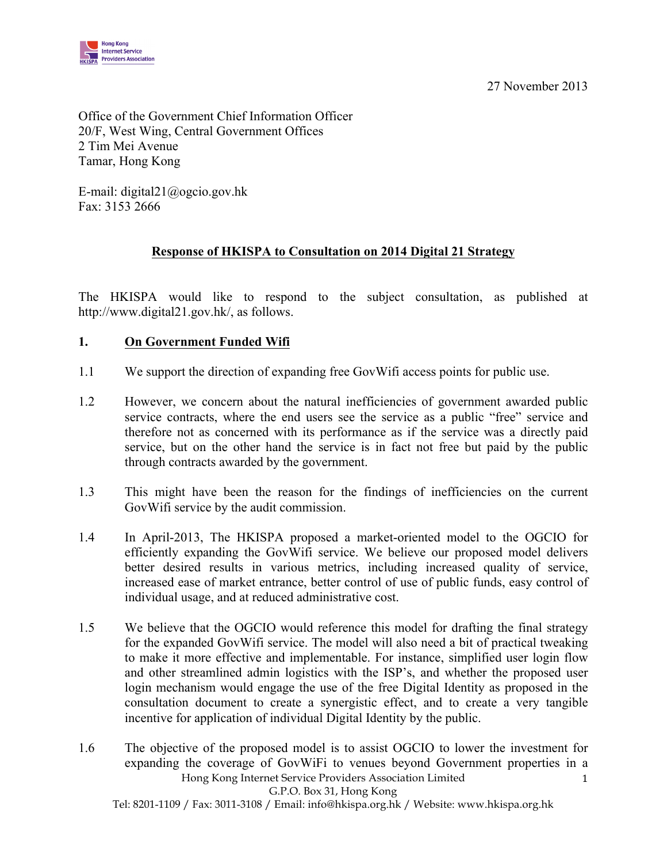27 November 2013



Office of the Government Chief Information Officer 20/F, West Wing, Central Government Offices 2 Tim Mei Avenue Tamar, Hong Kong

 Fax: 3153 2666 E-mail: digital21@ogcio.gov.hk

## **Response of HKISPA to Consultation on 2014 Digital 21 Strategy**

 The HKISPA would like to respond to the subject consultation, as published at http://www.digital21.gov.hk/, as follows.

### **1. On Government Funded Wifi**

- 1.1 We support the direction of expanding free GovWifi access points for public use.
- 1.2 However, we concern about the natural inefficiencies of government awarded public service contracts, where the end users see the service as a public "free" service and therefore not as concerned with its performance as if the service was a directly paid service, but on the other hand the service is in fact not free but paid by the public through contracts awarded by the government.
- 1.3 This might have been the reason for the findings of inefficiencies on the current GovWifi service by the audit commission.
- 1.4 In April-2013, The HKISPA proposed a market-oriented model to the OGCIO for efficiently expanding the GovWifi service. We believe our proposed model delivers better desired results in various metrics, including increased quality of service, increased ease of market entrance, better control of use of public funds, easy control of individual usage, and at reduced administrative cost.
- 1.5 We believe that the OGCIO would reference this model for drafting the final strategy for the expanded GovWifi service. The model will also need a bit of practical tweaking to make it more effective and implementable. For instance, simplified user login flow and other streamlined admin logistics with the ISP's, and whether the proposed user login mechanism would engage the use of the free Digital Identity as proposed in the consultation document to create a synergistic effect, and to create a very tangible incentive for application of individual Digital Identity by the public.
- Hong Kong Internet Service Providers Association Limited 1 G.P.O. Box 31, Hong Kong 1.6 The objective of the proposed model is to assist OGCIO to lower the investment for expanding the coverage of GovWiFi to venues beyond Government properties in a

Tel: 8201-1109 / Fax: 3011-3108 / Email: info@hkispa.org.hk / Website: www.hkispa.org.hk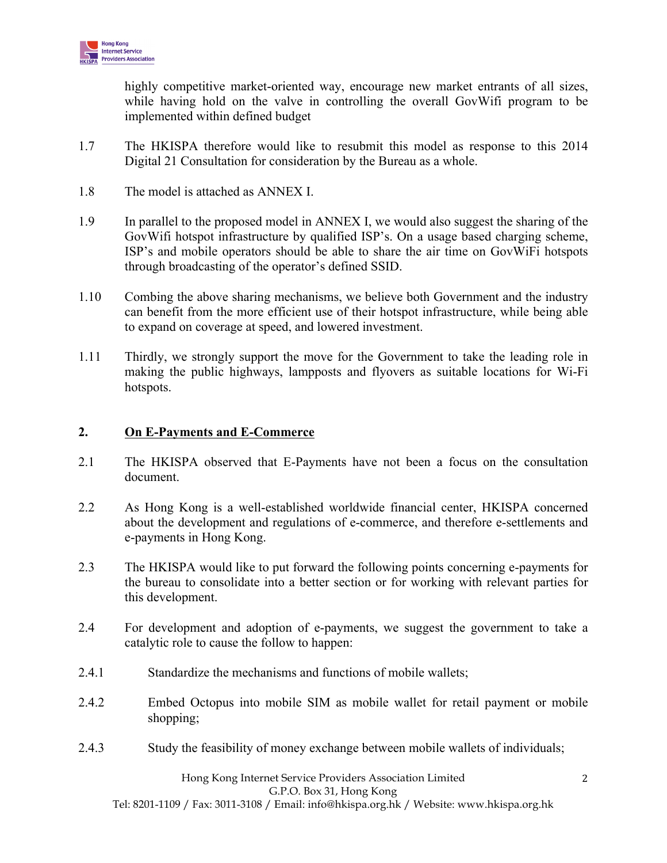

 highly competitive market-oriented way, encourage new market entrants of all sizes, while having hold on the valve in controlling the overall GovWifi program to be implemented within defined budget

- 1.7 The HKISPA therefore would like to resubmit this model as response to this 2014 Digital 21 Consultation for consideration by the Bureau as a whole.
- 1.8 The model is attached as ANNEX I.
- 1.9 In parallel to the proposed model in ANNEX I, we would also suggest the sharing of the GovWifi hotspot infrastructure by qualified ISP's. On a usage based charging scheme, ISP's and mobile operators should be able to share the air time on GovWiFi hotspots through broadcasting of the operator's defined SSID.
- 1.10 Combing the above sharing mechanisms, we believe both Government and the industry can benefit from the more efficient use of their hotspot infrastructure, while being able to expand on coverage at speed, and lowered investment.
- 1.11 Thirdly, we strongly support the move for the Government to take the leading role in making the public highways, lampposts and flyovers as suitable locations for Wi-Fi hotspots.

#### **2. On E-Payments and E-Commerce**

- 2.1 The HKISPA observed that E-Payments have not been a focus on the consultation document.
- 2.2 As Hong Kong is a well-established worldwide financial center, HKISPA concerned about the development and regulations of e-commerce, and therefore e-settlements and e-payments in Hong Kong.
- 2.3 The HKISPA would like to put forward the following points concerning e-payments for the bureau to consolidate into a better section or for working with relevant parties for this development.
- 2.4 For development and adoption of e-payments, we suggest the government to take a catalytic role to cause the follow to happen:
- 2.4.1 Standardize the mechanisms and functions of mobile wallets;
- 2.4.2 Embed Octopus into mobile SIM as mobile wallet for retail payment or mobile shopping;
- 2.4.3 Study the feasibility of money exchange between mobile wallets of individuals;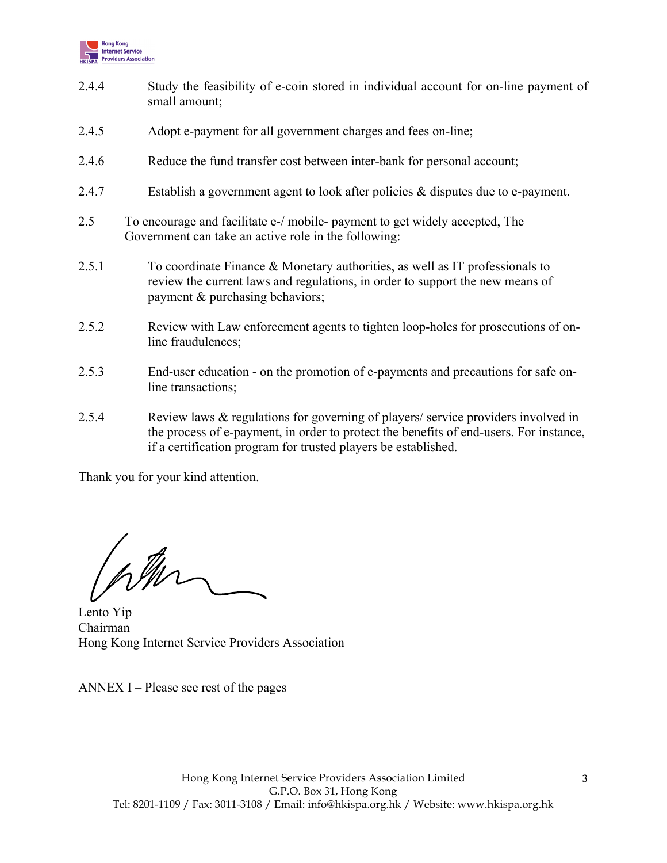

- 2.4.4 Study the feasibility of e-coin stored in individual account for on-line payment of small amount;
- 2.4.5 Adopt e-payment for all government charges and fees on-line;
- 2.4.6 Reduce the fund transfer cost between inter-bank for personal account;
- 2.4.7 Establish a government agent to look after policies & disputes due to e-payment.
- 2.5 To encourage and facilitate e-/ mobile- payment to get widely accepted, The Government can take an active role in the following:
- 2.5.1 To coordinate Finance & Monetary authorities, as well as IT professionals to review the current laws and regulations, in order to support the new means of payment & purchasing behaviors;
- 2.5.2 Review with Law enforcement agents to tighten loop-holes for prosecutions of online fraudulences;
- 2.5.3 End-user education on the promotion of e-payments and precautions for safe online transactions;
- 2.5.4 Review laws & regulations for governing of players/ service providers involved in the process of e-payment, in order to protect the benefits of end-users. For instance, if a certification program for trusted players be established.

Thank you for your kind attention.

ptur

Lento Yip Chairman Hong Kong Internet Service Providers Association

ANNEX I – Please see rest of the pages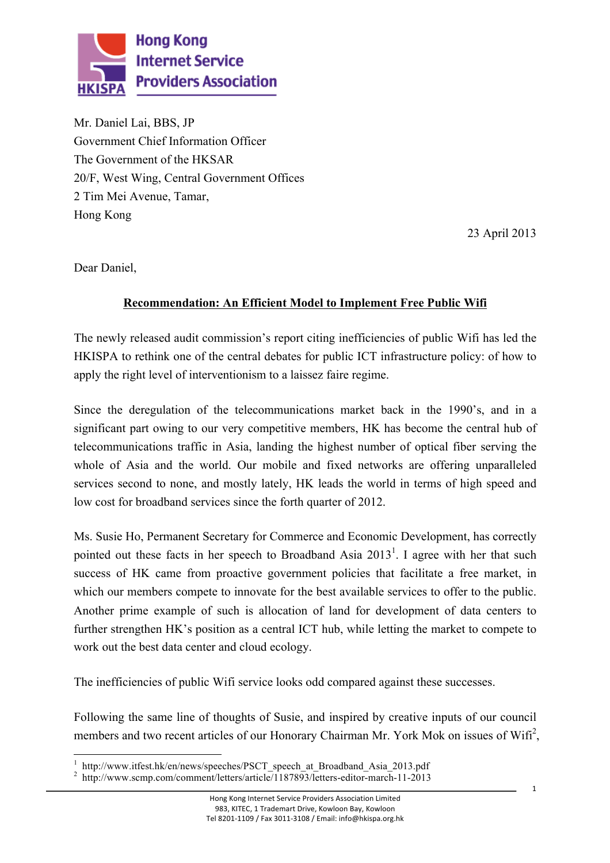

Mr. Daniel Lai, BBS, JP Government Chief Information Officer The Government of the HKSAR 20/F, West Wing, Central Government Offices 2 Tim Mei Avenue, Tamar, Hong Kong

23 April 2013

Dear Daniel,

 $\overline{a}$ 

# **Recommendation: An Efficient Model to Implement Free Public Wifi**

 The newly released audit commission's report citing inefficiencies of public Wifi has led the HKISPA to rethink one of the central debates for public ICT infrastructure policy: of how to apply the right level of interventionism to a laissez faire regime.

 Since the deregulation of the telecommunications market back in the 1990's, and in a significant part owing to our very competitive members, HK has become the central hub of telecommunications traffic in Asia, landing the highest number of optical fiber serving the whole of Asia and the world. Our mobile and fixed networks are offering unparalleled services second to none, and mostly lately, HK leads the world in terms of high speed and low cost for broadband services since the forth quarter of 2012.

pointed out these facts in her speech to Broadband Asia  $2013<sup>1</sup>$ . I agree with her that such success of HK came from proactive government policies that facilitate a free market, in which our members compete to innovate for the best available services to offer to the public. Another prime example of such is allocation of land for development of data centers to further strengthen HK's position as a central ICT hub, while letting the market to compete to Ms. Susie Ho, Permanent Secretary for Commerce and Economic Development, has correctly work out the best data center and cloud ecology.

The inefficiencies of public Wifi service looks odd compared against these successes.

 Following the same line of thoughts of Susie, and inspired by creative inputs of our council members and two recent articles of our Honorary Chairman Mr. York Mok on issues of  $W<sub>if</sub>$ <sup>2</sup>,

<sup>1</sup> http://www.itfest.hk/en/news/speeches/PSCT\_speech\_at\_Broadband\_Asia\_2013.pdf 2 http://www.scmp.com/comment/letters/article/1187893/letters-editor-march-11-2013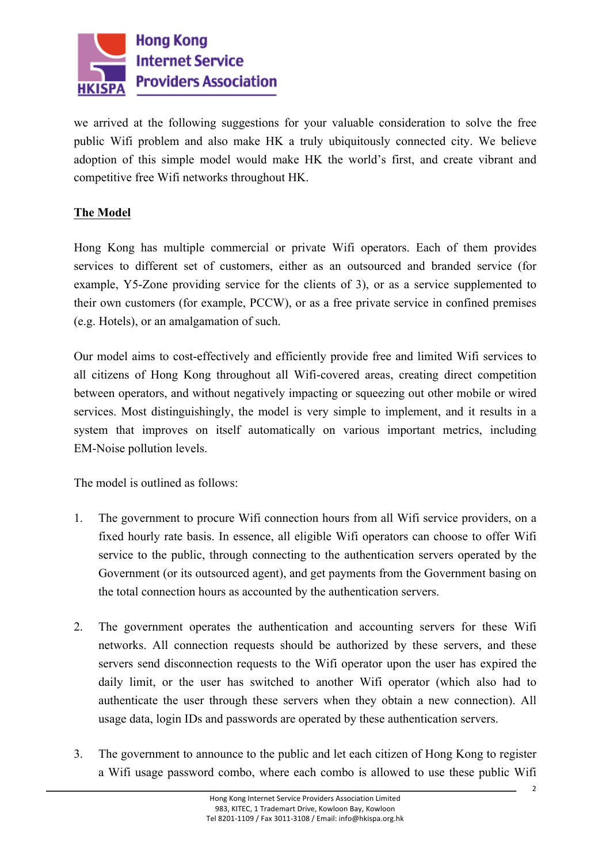

 we arrived at the following suggestions for your valuable consideration to solve the free public Wifi problem and also make HK a truly ubiquitously connected city. We believe adoption of this simple model would make HK the world's first, and create vibrant and competitive free Wifi networks throughout HK.

## **The Model**

 Hong Kong has multiple commercial or private Wifi operators. Each of them provides services to different set of customers, either as an outsourced and branded service (for example, Y5-Zone providing service for the clients of 3), or as a service supplemented to their own customers (for example, PCCW), or as a free private service in confined premises (e.g. Hotels), or an amalgamation of such.

 Our model aims to cost-effectively and efficiently provide free and limited Wifi services to all citizens of Hong Kong throughout all Wifi-covered areas, creating direct competition services. Most distinguishingly, the model is very simple to implement, and it results in a system that improves on itself automatically on various important metrics, including between operators, and without negatively impacting or squeezing out other mobile or wired EM-Noise pollution levels.

The model is outlined as follows:

- 1. The government to procure Wifi connection hours from all Wifi service providers, on a fixed hourly rate basis. In essence, all eligible Wifi operators can choose to offer Wifi service to the public, through connecting to the authentication servers operated by the Government (or its outsourced agent), and get payments from the Government basing on the total connection hours as accounted by the authentication servers.
- 2. The government operates the authentication and accounting servers for these Wifi networks. All connection requests should be authorized by these servers, and these servers send disconnection requests to the Wifi operator upon the user has expired the daily limit, or the user has switched to another Wifi operator (which also had to authenticate the user through these servers when they obtain a new connection). All usage data, login IDs and passwords are operated by these authentication servers.
- 3. The government to announce to the public and let each citizen of Hong Kong to register a Wifi usage password combo, where each combo is allowed to use these public Wifi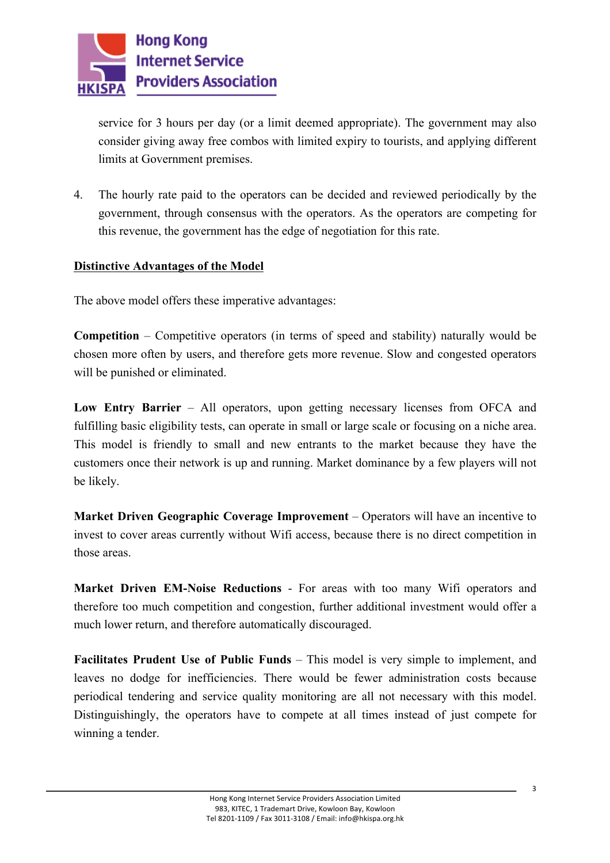

 service for 3 hours per day (or a limit deemed appropriate). The government may also consider giving away free combos with limited expiry to tourists, and applying different limits at Government premises.

 4. The hourly rate paid to the operators can be decided and reviewed periodically by the government, through consensus with the operators. As the operators are competing for this revenue, the government has the edge of negotiation for this rate.

## **Distinctive Advantages of the Model**

The above model offers these imperative advantages:

 **Competition** – Competitive operators (in terms of speed and stability) naturally would be chosen more often by users, and therefore gets more revenue. Slow and congested operators will be punished or eliminated.

 **Low Entry Barrier** – All operators, upon getting necessary licenses from OFCA and fulfilling basic eligibility tests, can operate in small or large scale or focusing on a niche area. This model is friendly to small and new entrants to the market because they have the customers once their network is up and running. Market dominance by a few players will not be likely.

**Market Driven Geographic Coverage Improvement** – Operators will have an incentive to invest to cover areas currently without Wifi access, because there is no direct competition in those areas.

 **Market Driven EM-Noise Reductions** - For areas with too many Wifi operators and therefore too much competition and congestion, further additional investment would offer a much lower return, and therefore automatically discouraged.

Facilitates Prudent Use of Public Funds – This model is very simple to implement, and leaves no dodge for inefficiencies. There would be fewer administration costs because periodical tendering and service quality monitoring are all not necessary with this model. Distinguishingly, the operators have to compete at all times instead of just compete for winning a tender.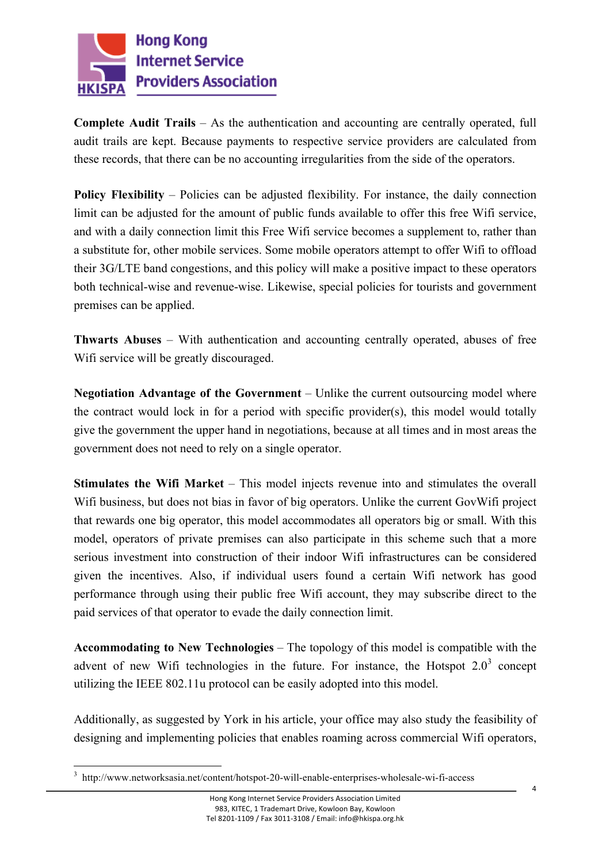

 **Complete Audit Trails** – As the authentication and accounting are centrally operated, full audit trails are kept. Because payments to respective service providers are calculated from these records, that there can be no accounting irregularities from the side of the operators.

**Policy Flexibility** – Policies can be adjusted flexibility. For instance, the daily connection limit can be adjusted for the amount of public funds available to offer this free Wifi service, and with a daily connection limit this Free Wifi service becomes a supplement to, rather than a substitute for, other mobile services. Some mobile operators attempt to offer Wifi to offload their 3G/LTE band congestions, and this policy will make a positive impact to these operators both technical-wise and revenue-wise. Likewise, special policies for tourists and government premises can be applied.

 **Thwarts Abuses** – With authentication and accounting centrally operated, abuses of free Wifi service will be greatly discouraged.

 **Negotiation Advantage of the Government** – Unlike the current outsourcing model where the contract would lock in for a period with specific provider(s), this model would totally give the government the upper hand in negotiations, because at all times and in most areas the government does not need to rely on a single operator.

**Stimulates the Wifi Market** – This model injects revenue into and stimulates the overall Wifi business, but does not bias in favor of big operators. Unlike the current GovWifi project that rewards one big operator, this model accommodates all operators big or small. With this model, operators of private premises can also participate in this scheme such that a more serious investment into construction of their indoor Wifi infrastructures can be considered given the incentives. Also, if individual users found a certain Wifi network has good performance through using their public free Wifi account, they may subscribe direct to the paid services of that operator to evade the daily connection limit.

 **Accommodating to New Technologies** – The topology of this model is compatible with the advent of new Wifi technologies in the future. For instance, the Hotspot  $2.0<sup>3</sup>$  concept utilizing the IEEE 802.11u protocol can be easily adopted into this model.

 designing and implementing policies that enables roaming across commercial Wifi operators, Additionally, as suggested by York in his article, your office may also study the feasibility of

<u>.</u>

<sup>3</sup> http://www.networksasia.net/content/hotspot-20-will-enable-enterprises-wholesale-wi-fi-access